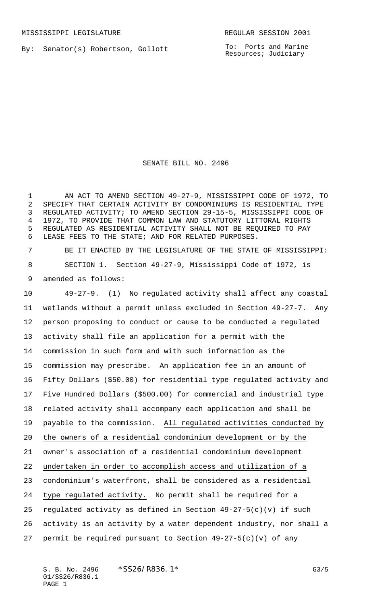By: Senator(s) Robertson, Gollott

To: Ports and Marine Resources; Judiciary

## SENATE BILL NO. 2496

 AN ACT TO AMEND SECTION 49-27-9, MISSISSIPPI CODE OF 1972, TO SPECIFY THAT CERTAIN ACTIVITY BY CONDOMINIUMS IS RESIDENTIAL TYPE REGULATED ACTIVITY; TO AMEND SECTION 29-15-5, MISSISSIPPI CODE OF 1972, TO PROVIDE THAT COMMON LAW AND STATUTORY LITTORAL RIGHTS REGULATED AS RESIDENTIAL ACTIVITY SHALL NOT BE REQUIRED TO PAY LEASE FEES TO THE STATE; AND FOR RELATED PURPOSES.

 BE IT ENACTED BY THE LEGISLATURE OF THE STATE OF MISSISSIPPI: SECTION 1. Section 49-27-9, Mississippi Code of 1972, is amended as follows:

 49-27-9. (1) No regulated activity shall affect any coastal wetlands without a permit unless excluded in Section 49-27-7. Any person proposing to conduct or cause to be conducted a regulated activity shall file an application for a permit with the commission in such form and with such information as the commission may prescribe. An application fee in an amount of Fifty Dollars (\$50.00) for residential type regulated activity and Five Hundred Dollars (\$500.00) for commercial and industrial type related activity shall accompany each application and shall be payable to the commission. All regulated activities conducted by the owners of a residential condominium development or by the owner's association of a residential condominium development undertaken in order to accomplish access and utilization of a condominium's waterfront, shall be considered as a residential type regulated activity. No permit shall be required for a regulated activity as defined in Section 49-27-5(c)(v) if such activity is an activity by a water dependent industry, nor shall a permit be required pursuant to Section 49-27-5(c)(v) of any

S. B. No. 2496 \* SS26/R836.1\* G3/5 01/SS26/R836.1 PAGE 1